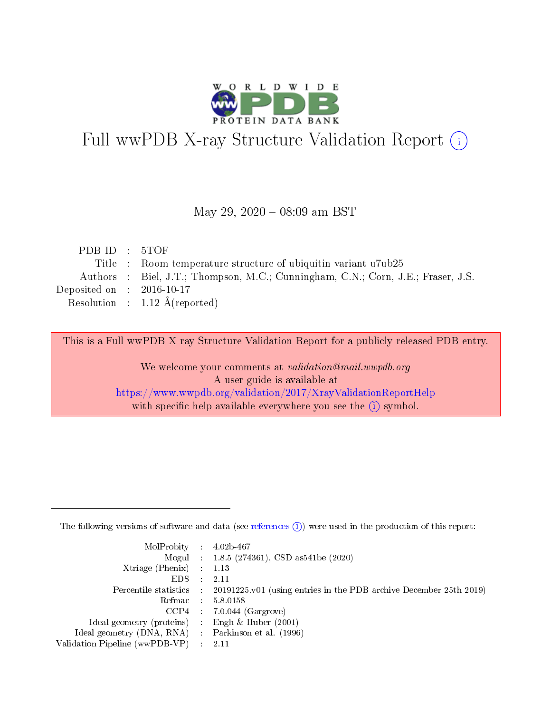

# Full wwPDB X-ray Structure Validation Report (i)

#### May 29,  $2020 - 08:09$  am BST

| PDB ID : 5TOF                                                                    |
|----------------------------------------------------------------------------------|
| Title : Room temperature structure of ubiquitin variant u7ub25                   |
| Authors : Biel, J.T.; Thompson, M.C.; Cunningham, C.N.; Corn, J.E.; Fraser, J.S. |
| Deposited on : $2016-10-17$                                                      |
| Resolution : $1.12 \text{ Å}$ (reported)                                         |
|                                                                                  |

This is a Full wwPDB X-ray Structure Validation Report for a publicly released PDB entry.

We welcome your comments at validation@mail.wwpdb.org A user guide is available at <https://www.wwpdb.org/validation/2017/XrayValidationReportHelp> with specific help available everywhere you see the  $(i)$  symbol.

The following versions of software and data (see [references](https://www.wwpdb.org/validation/2017/XrayValidationReportHelp#references)  $(1)$ ) were used in the production of this report:

| MolProbity : $4.02b-467$                            |                                                                                            |
|-----------------------------------------------------|--------------------------------------------------------------------------------------------|
|                                                     | Mogul : $1.8.5$ (274361), CSD as 541be (2020)                                              |
| $Xtriangle (Phenix)$ : 1.13                         |                                                                                            |
| $EDS$ :                                             | -2.11                                                                                      |
|                                                     | Percentile statistics : 20191225.v01 (using entries in the PDB archive December 25th 2019) |
| Refmac : 5.8.0158                                   |                                                                                            |
|                                                     | $CCP4$ 7.0.044 (Gargrove)                                                                  |
| Ideal geometry (proteins) : Engh $\&$ Huber (2001)  |                                                                                            |
| Ideal geometry (DNA, RNA) : Parkinson et al. (1996) |                                                                                            |
| Validation Pipeline (wwPDB-VP) : 2.11               |                                                                                            |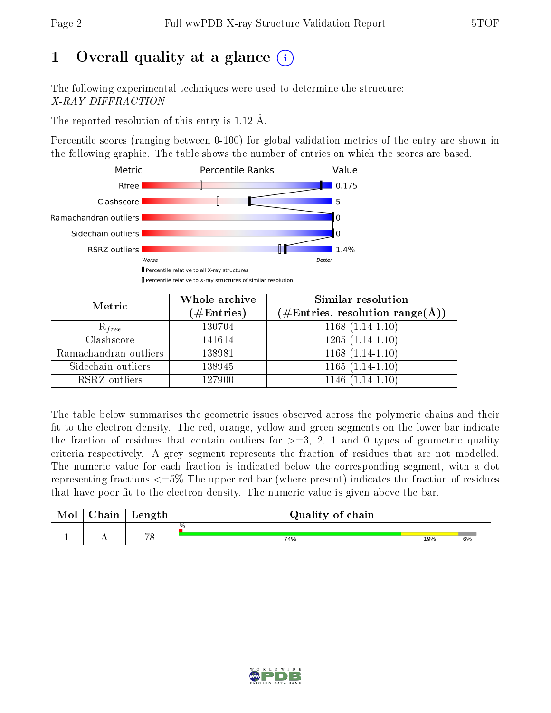# 1 [O](https://www.wwpdb.org/validation/2017/XrayValidationReportHelp#overall_quality)verall quality at a glance  $(i)$

The following experimental techniques were used to determine the structure: X-RAY DIFFRACTION

The reported resolution of this entry is 1.12 Å.

Percentile scores (ranging between 0-100) for global validation metrics of the entry are shown in the following graphic. The table shows the number of entries on which the scores are based.



| Metric                | Whole archive<br>$(\#\text{Entries})$ | Similar resolution<br>$(\#\text{Entries}, \text{resolution range}(\text{\AA}))$ |  |  |
|-----------------------|---------------------------------------|---------------------------------------------------------------------------------|--|--|
| $R_{free}$            | 130704                                | $1168(1.14-1.10)$                                                               |  |  |
| Clashscore            | 141614                                | $1205(1.14-1.10)$                                                               |  |  |
| Ramachandran outliers | 138981                                | $1168(1.14-1.10)$                                                               |  |  |
| Sidechain outliers    | 138945                                | $1165(1.14-1.10)$                                                               |  |  |
| RSRZ outliers         | 127900                                | $1146(1.14-1.10)$                                                               |  |  |

The table below summarises the geometric issues observed across the polymeric chains and their fit to the electron density. The red, orange, yellow and green segments on the lower bar indicate the fraction of residues that contain outliers for  $>=3, 2, 1$  and 0 types of geometric quality criteria respectively. A grey segment represents the fraction of residues that are not modelled. The numeric value for each fraction is indicated below the corresponding segment, with a dot representing fractions  $\epsilon=5\%$  The upper red bar (where present) indicates the fraction of residues that have poor fit to the electron density. The numeric value is given above the bar.

| Mol | $\sim$ $\sim$<br>hain | Length | Quality of chain |     |    |
|-----|-----------------------|--------|------------------|-----|----|
|     |                       | $\neg$ | %                |     |    |
| л.  | . .                   |        | 74%              | 19% | 6% |

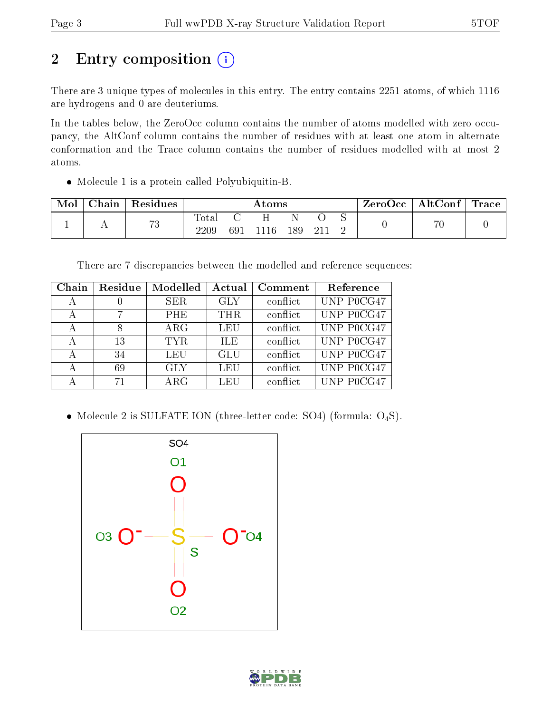# 2 Entry composition (i)

There are 3 unique types of molecules in this entry. The entry contains 2251 atoms, of which 1116 are hydrogens and 0 are deuteriums.

In the tables below, the ZeroOcc column contains the number of atoms modelled with zero occupancy, the AltConf column contains the number of residues with at least one atom in alternate conformation and the Trace column contains the number of residues modelled with at most 2 atoms.

Molecule 1 is a protein called Polyubiquitin-B.

| Mol | Chain | Residues            | $\rm{Atoms}$  |     |      |     |      | ZeroOcc | AltConf | $\mid$ Trace $\mid$ |  |
|-----|-------|---------------------|---------------|-----|------|-----|------|---------|---------|---------------------|--|
|     |       | $H^{\prime}$<br>1 J | Totar<br>2209 | 691 | 1116 | 189 | -211 |         |         | 76                  |  |

There are 7 discrepancies between the modelled and reference sequences:

| Chain | Residue | Modelled   | Actual     | Comment  | Reference    |
|-------|---------|------------|------------|----------|--------------|
| А     |         | <b>SER</b> | <b>GLY</b> | conflict | UNP P0CG47   |
| А     |         | <b>PHE</b> | THR.       | conflict | UNP P0CG47   |
| А     |         | $\rm{ARG}$ | LEU        | conflict | UNP P0CG47   |
| А     | 13      | TYR.       | ILE.       | conflict | UNP P0CG47   |
| А     | 34      | LEU        | GLU        | conflict | UNP P0CG47   |
| А     | 69      | <b>GLY</b> | LEU        | conflict | UNP P0CG47   |
|       | 71      | $\rm{ARG}$ | LEU        | conflict | UNP $P0CG47$ |

• Molecule 2 is SULFATE ION (three-letter code: SO4) (formula:  $O_4S$ ).



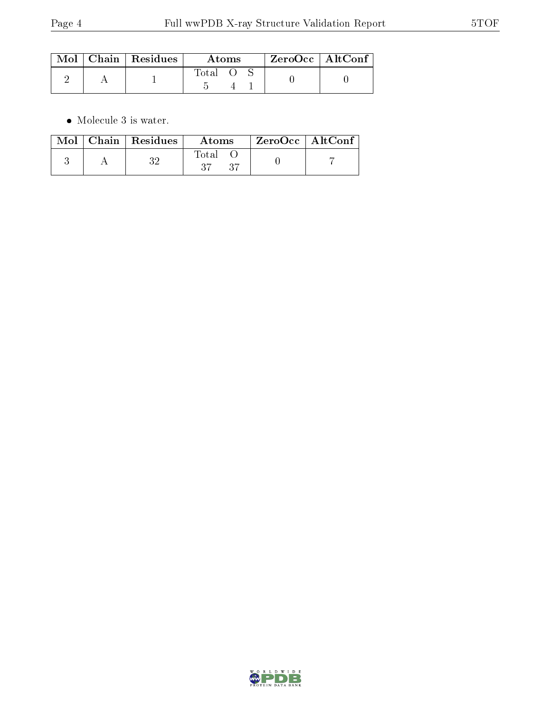|  | $\text{Mol}$   Chain   Residues | Atoms |  |  | $ZeroOcc$   AltConf |  |
|--|---------------------------------|-------|--|--|---------------------|--|
|  |                                 | Total |  |  |                     |  |

 $\bullet\,$  Molecule 3 is water.

|  | $\text{Mol}$   Chain   Residues | Atoms        | $^{\shortmid}$ ZeroOcc $\mid$ AltConf $^{\shortmid}$ |  |
|--|---------------------------------|--------------|------------------------------------------------------|--|
|  |                                 | Fotal<br>-37 |                                                      |  |

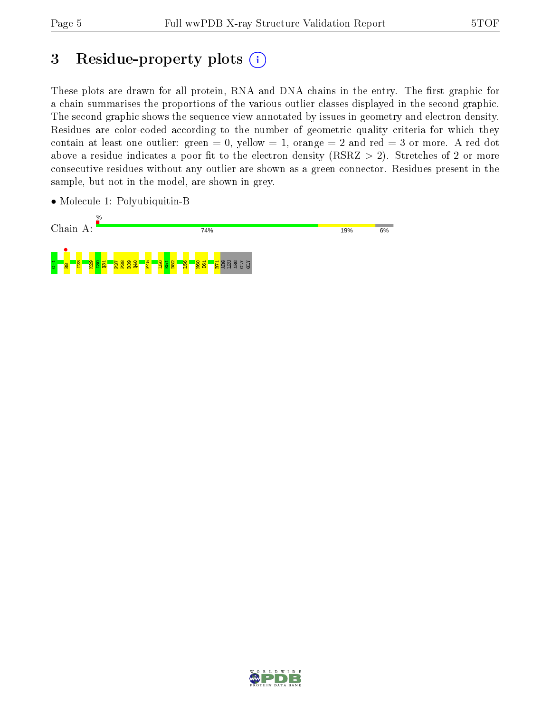# 3 Residue-property plots (i)

These plots are drawn for all protein, RNA and DNA chains in the entry. The first graphic for a chain summarises the proportions of the various outlier classes displayed in the second graphic. The second graphic shows the sequence view annotated by issues in geometry and electron density. Residues are color-coded according to the number of geometric quality criteria for which they contain at least one outlier: green  $= 0$ , yellow  $= 1$ , orange  $= 2$  and red  $= 3$  or more. A red dot above a residue indicates a poor fit to the electron density (RSRZ  $> 2$ ). Stretches of 2 or more consecutive residues without any outlier are shown as a green connector. Residues present in the sample, but not in the model, are shown in grey.

• Molecule 1: Polyubiquitin-B



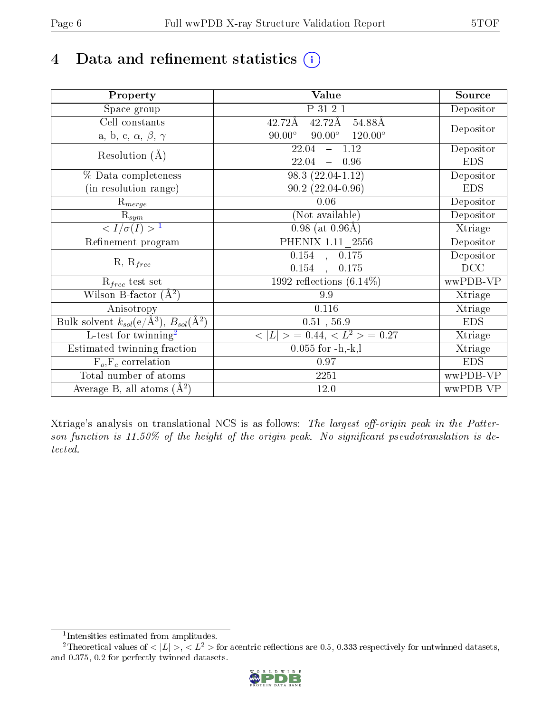# 4 Data and refinement statistics  $(i)$

| Property                                                             | Value                                            | Source     |
|----------------------------------------------------------------------|--------------------------------------------------|------------|
| $\overline{\text{Space}}$ group                                      | P 31 2 1                                         | Depositor  |
| Cell constants                                                       | $42.72\text{\AA}$<br>42.72Å<br>54.88Å            |            |
| a, b, c, $\alpha$ , $\beta$ , $\gamma$                               | $90.00^\circ$<br>$90.00^\circ$<br>$120.00^\circ$ | Depositor  |
| Resolution $(A)$                                                     | $-1.12$<br>22.04                                 | Depositor  |
|                                                                      | 22.04<br>$-0.96$                                 | <b>EDS</b> |
| % Data completeness                                                  | $98.3(22.04-1.12)$                               | Depositor  |
| (in resolution range)                                                | $90.2(22.04-0.96)$                               | <b>EDS</b> |
| $R_{merge}$                                                          | 0.06                                             | Depositor  |
| $\mathrm{R}_{sym}$                                                   | (Not available)                                  | Depositor  |
| $\langle I/\sigma(I) \rangle$ <sup>1</sup>                           | $0.98$ (at $0.96\text{\AA}$ )                    | Xtriage    |
| Refinement program                                                   | PHENIX 1.11 2556                                 | Depositor  |
|                                                                      | $\overline{0.154}$ , $0.175$                     | Depositor  |
| $R, R_{free}$                                                        | $0.154$ ,<br>0.175                               | DCC        |
| $\mathcal{R}_{free}$ test set                                        | 1992 reflections $(6.14\%)$                      | wwPDB-VP   |
| Wilson B-factor $(A^2)$                                              | 9.9                                              | Xtriage    |
| Anisotropy                                                           | 0.116                                            | Xtriage    |
| Bulk solvent $k_{sol}(e/\mathring{A}^3)$ , $B_{sol}(\mathring{A}^2)$ | 0.51, 56.9                                       | <b>EDS</b> |
| L-test for twinning <sup>2</sup>                                     | $< L >$ = 0.44, $< L2$ = 0.27                    | Xtriage    |
| Estimated twinning fraction                                          | $0.055$ for $-h,-k,l$                            | Xtriage    |
| $F_o, F_c$ correlation                                               | 0.97                                             | <b>EDS</b> |
| Total number of atoms                                                | 2251                                             | wwPDB-VP   |
| Average B, all atoms $(A^2)$                                         | 12.0                                             | wwPDB-VP   |

Xtriage's analysis on translational NCS is as follows: The largest off-origin peak in the Patterson function is  $11.50\%$  of the height of the origin peak. No significant pseudotranslation is detected.

<sup>&</sup>lt;sup>2</sup>Theoretical values of  $\langle |L| \rangle$ ,  $\langle L^2 \rangle$  for acentric reflections are 0.5, 0.333 respectively for untwinned datasets, and 0.375, 0.2 for perfectly twinned datasets.



<span id="page-5-1"></span><span id="page-5-0"></span><sup>1</sup> Intensities estimated from amplitudes.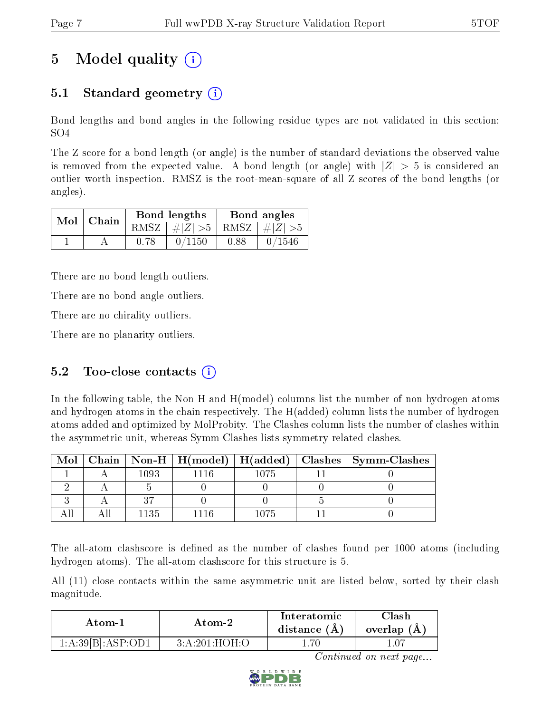# 5 Model quality  $(i)$

## 5.1 Standard geometry  $\overline{()}$

Bond lengths and bond angles in the following residue types are not validated in this section: SO4

The Z score for a bond length (or angle) is the number of standard deviations the observed value is removed from the expected value. A bond length (or angle) with  $|Z| > 5$  is considered an outlier worth inspection. RMSZ is the root-mean-square of all Z scores of the bond lengths (or angles).

| $Mol$   Chain |      | Bond lengths                    | Bond angles |        |  |
|---------------|------|---------------------------------|-------------|--------|--|
|               |      | RMSZ $ #Z  > 5$ RMSZ $ #Z  > 5$ |             |        |  |
|               | 0.78 | 0/1150                          | 0.88        | 0/1546 |  |

There are no bond length outliers.

There are no bond angle outliers.

There are no chirality outliers.

There are no planarity outliers.

### 5.2 Too-close contacts  $(i)$

In the following table, the Non-H and H(model) columns list the number of non-hydrogen atoms and hydrogen atoms in the chain respectively. The H(added) column lists the number of hydrogen atoms added and optimized by MolProbity. The Clashes column lists the number of clashes within the asymmetric unit, whereas Symm-Clashes lists symmetry related clashes.

| Mol |      |      |      | Chain   Non-H   H(model)   H(added)   Clashes   Symm-Clashes |
|-----|------|------|------|--------------------------------------------------------------|
|     | 1093 | 1116 | 1075 |                                                              |
|     |      |      |      |                                                              |
|     |      |      |      |                                                              |
|     | -135 |      | 1075 |                                                              |

The all-atom clashscore is defined as the number of clashes found per 1000 atoms (including hydrogen atoms). The all-atom clashscore for this structure is 5.

All (11) close contacts within the same asymmetric unit are listed below, sorted by their clash magnitude.

| Atom-1            | Atom-2        | Interatomic<br>distance $(A)$ | Clash<br>overlap $(A)$ |
|-------------------|---------------|-------------------------------|------------------------|
| 1:A:39[B].ASP:OD1 | 3:A:201:HOH:O | -70                           |                        |

Continued on next page...

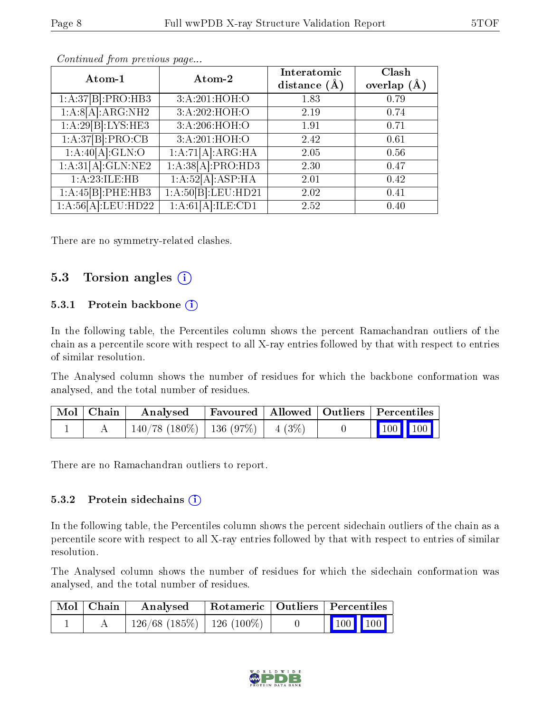| Atom-1                          | Atom-2                        | Interatomic<br>distance $(\AA)$ | Clash<br>overlap $(A)$ |
|---------------------------------|-------------------------------|---------------------------------|------------------------|
| 1:A:37[B]:PRO:HB3               | 3:A:201:HOH:O                 | 1.83                            | 0.79                   |
| 1:A:8[A]:ARG:NH2                | 3:A:202:HOH:O                 | 2.19                            | 0.74                   |
| 1:A:29[B]:LYS:HE3               | 3:A:206:HOH:O                 | 1.91                            | 0.71                   |
| 1:A:37[B]:PRO:CB                | 3:A:201:HOH:O                 | 2.42                            | 0.61                   |
| 1:A:40[A]:GLN:O                 | $1:\overline{A:71[A]:ARG:HA}$ | 2.05                            | 0.56                   |
| 1:A:31[A]:GLN:NE2               | 1:A:38[A]:PRO:HD3             | 2.30                            | 0.47                   |
| 1:A:23:ILE:HB                   | 1:A:52[A]:ASP:HA              | 2.01                            | 0.42                   |
| 1:A:45[B]:PHE:HB3               | 1:A:50[B]:LEU:HD21            | 2.02                            | 0.41                   |
| $1:A:56[A]:LEU:\overline{HD22}$ | 1:A:61[A]:ILE:CD1             | 2.52                            | 0.40                   |

Continued from previous page...

There are no symmetry-related clashes.

### 5.3 Torsion angles  $(i)$

#### 5.3.1 Protein backbone  $(i)$

In the following table, the Percentiles column shows the percent Ramachandran outliers of the chain as a percentile score with respect to all X-ray entries followed by that with respect to entries of similar resolution.

The Analysed column shows the number of residues for which the backbone conformation was analysed, and the total number of residues.

| $\mid$ Mol $\mid$ Chain $\mid$ | Analysed                                |  | Favoured   Allowed   Outliers   Percentiles |  |  |
|--------------------------------|-----------------------------------------|--|---------------------------------------------|--|--|
|                                | $140/78$ (180\%)   136 (97\%)   4 (3\%) |  |                                             |  |  |

There are no Ramachandran outliers to report.

#### 5.3.2 Protein sidechains (i)

In the following table, the Percentiles column shows the percent sidechain outliers of the chain as a percentile score with respect to all X-ray entries followed by that with respect to entries of similar resolution.

The Analysed column shows the number of residues for which the sidechain conformation was analysed, and the total number of residues.

| Mol   Chain | Analysed   Rotameric   Outliers   Percentiles |  |                 |  |  |
|-------------|-----------------------------------------------|--|-----------------|--|--|
|             | $126/68$ (185\%)   126 (100\%)                |  | $\vert$ 100 100 |  |  |

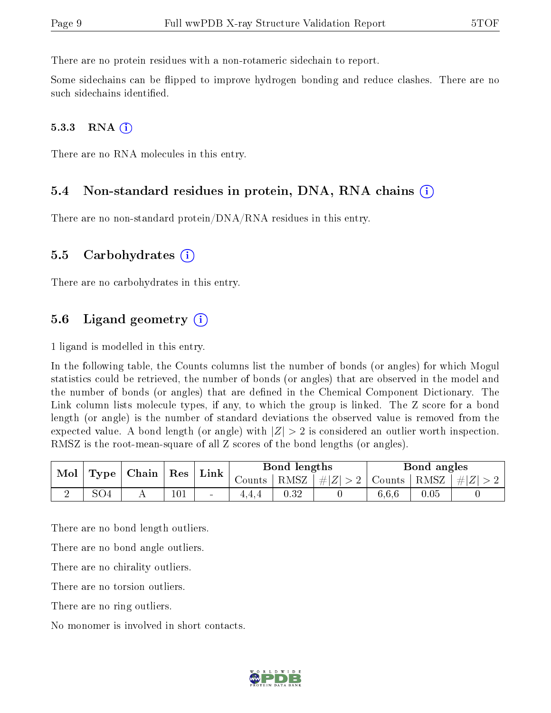There are no protein residues with a non-rotameric sidechain to report.

Some sidechains can be flipped to improve hydrogen bonding and reduce clashes. There are no such sidechains identified.

#### $5.3.3$  RNA  $(i)$

There are no RNA molecules in this entry.

#### 5.4 Non-standard residues in protein, DNA, RNA chains (i)

There are no non-standard protein/DNA/RNA residues in this entry.

#### 5.5 Carbohydrates (i)

There are no carbohydrates in this entry.

### 5.6 Ligand geometry  $(i)$

1 ligand is modelled in this entry.

In the following table, the Counts columns list the number of bonds (or angles) for which Mogul statistics could be retrieved, the number of bonds (or angles) that are observed in the model and the number of bonds (or angles) that are defined in the Chemical Component Dictionary. The Link column lists molecule types, if any, to which the group is linked. The Z score for a bond length (or angle) is the number of standard deviations the observed value is removed from the expected value. A bond length (or angle) with  $|Z| > 2$  is considered an outlier worth inspection. RMSZ is the root-mean-square of all Z scores of the bond lengths (or angles).

| $\vert$ Type $\vert$ Chain $\vert$ Res $\vert$<br>Mol |     |  |     |                          |                       |                                                                                |       |          |           |  |  |  |  |  |  | $^{\shortmid}$ Link $_{\shortmid}$ | Bond lengths |  |  | Bond angles |  |
|-------------------------------------------------------|-----|--|-----|--------------------------|-----------------------|--------------------------------------------------------------------------------|-------|----------|-----------|--|--|--|--|--|--|------------------------------------|--------------|--|--|-------------|--|
|                                                       |     |  |     |                          | Counts   RMSZ $\vert$ | $\left  \frac{1}{2}  Z  > 2 \right $ Counts $\left  \frac{RMSZ}{RMSZ} \right $ |       |          | $\pm  Z $ |  |  |  |  |  |  |                                    |              |  |  |             |  |
| ↵                                                     | SO4 |  | 101 | $\overline{\phantom{a}}$ | 0.32                  |                                                                                | 6,6,6 | $0.05\,$ |           |  |  |  |  |  |  |                                    |              |  |  |             |  |

There are no bond length outliers.

There are no bond angle outliers.

There are no chirality outliers.

There are no torsion outliers.

There are no ring outliers.

No monomer is involved in short contacts.

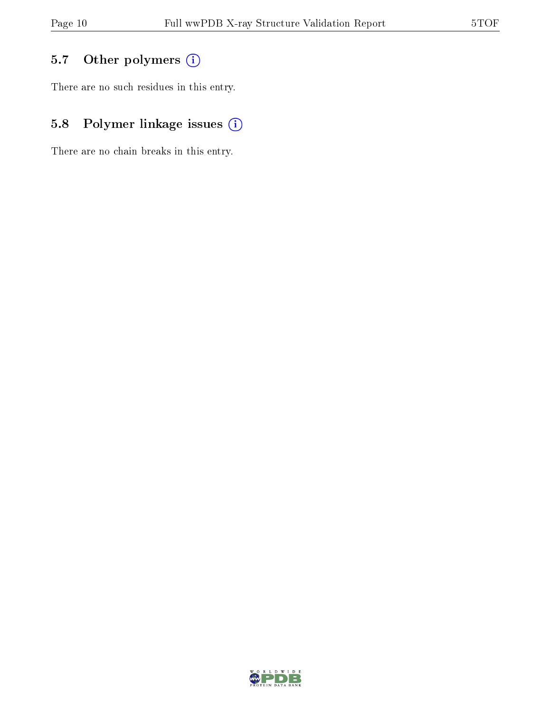## 5.7 [O](https://www.wwpdb.org/validation/2017/XrayValidationReportHelp#nonstandard_residues_and_ligands)ther polymers (i)

There are no such residues in this entry.

## 5.8 Polymer linkage issues (i)

There are no chain breaks in this entry.